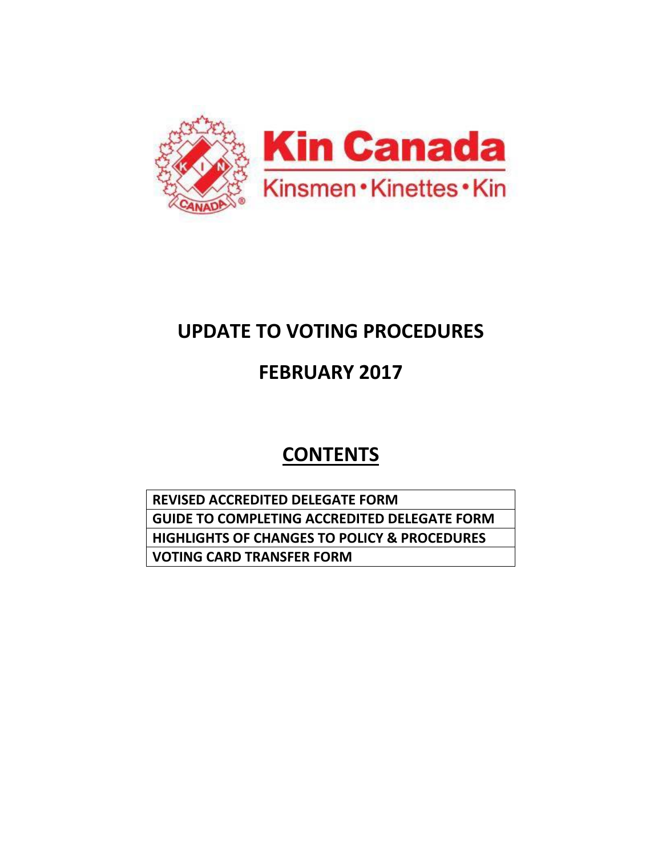

# **UPDATE TO VOTING PROCEDURES**

# **FEBRUARY 2017**

# **CONTENTS**

**REVISED ACCREDITED DELEGATE FORM GUIDE TO COMPLETING ACCREDITED DELEGATE FORM HIGHLIGHTS OF CHANGES TO POLICY & PROCEDURES VOTING CARD TRANSFER FORM**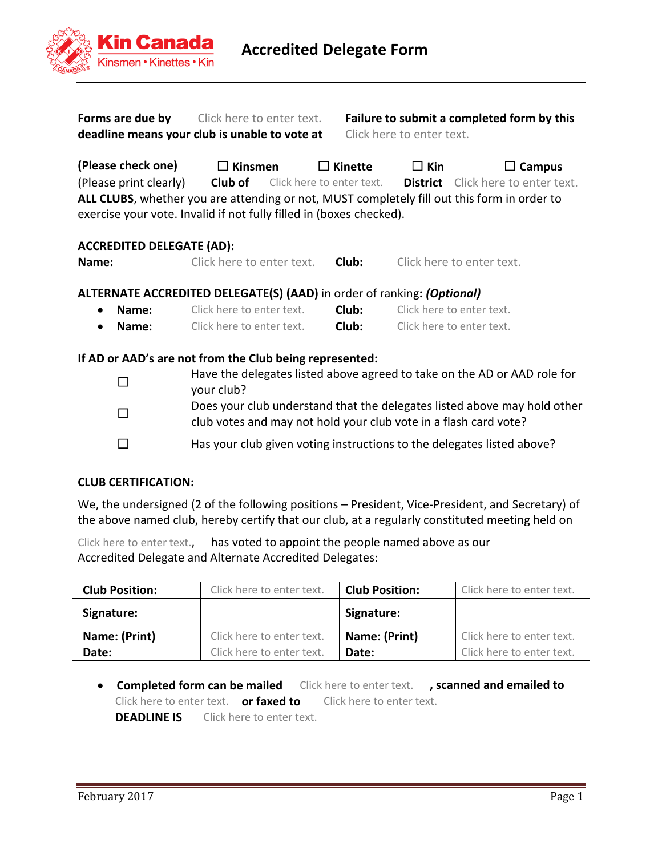

| Forms are due by | Click here to enter text.                     | Failure to submit a completed form by this |
|------------------|-----------------------------------------------|--------------------------------------------|
|                  | deadline means your club is unable to vote at | Click here to enter text.                  |

| Failure to submit a completed form by this |  |
|--------------------------------------------|--|
| Click here to enter text.                  |  |

**(Please check one)** ☐ **Kinsmen** ☐ **Kinette** ☐ **Kin** ☐ **Campus** (Please print clearly) **Club of** Click here to enter text. **District** Click here to enter text. **ALL CLUBS**, whether you are attending or not, MUST completely fill out this form in order to exercise your vote. Invalid if not fully filled in (boxes checked).

## **ACCREDITED DELEGATE (AD):**

| Name: | Click here to enter text. | Club: | Click here to enter text. |
|-------|---------------------------|-------|---------------------------|
|-------|---------------------------|-------|---------------------------|

### **ALTERNATE ACCREDITED DELEGATE(S) (AAD)** in order of ranking**:** *(Optional)*

| $\bullet$ | Name: | Click here to enter text. | Club: | Click here to enter text. |
|-----------|-------|---------------------------|-------|---------------------------|
|           | Name: | Click here to enter text. | Club: | Click here to enter text. |

### **If AD or AAD's are not from the Club being represented:**

| $\mathbf{I}$ | Have the delegates listed above agreed to take on the AD or AAD role for<br>your club?                                                       |
|--------------|----------------------------------------------------------------------------------------------------------------------------------------------|
| $\mathbf{I}$ | Does your club understand that the delegates listed above may hold other<br>club votes and may not hold your club vote in a flash card vote? |
|              | Has your club given voting instructions to the delegates listed above?                                                                       |

### **CLUB CERTIFICATION:**

We, the undersigned (2 of the following positions – President, Vice-President, and Secretary) of the above named club, hereby certify that our club, at a regularly constituted meeting held on

Click here to enter text., has voted to appoint the people named above as our Accredited Delegate and Alternate Accredited Delegates:

| <b>Club Position:</b> | Click here to enter text. | <b>Club Position:</b> | Click here to enter text. |
|-----------------------|---------------------------|-----------------------|---------------------------|
| Signature:            |                           | Signature:            |                           |
| Name: (Print)         | Click here to enter text. | Name: (Print)         | Click here to enter text. |
| Date:                 | Click here to enter text. | Date:                 | Click here to enter text. |

 **Completed form can be mailed** Click here to enter text. **, scanned and emailed to** Click here to enter text. **or faxed to** Click here to enter text. **DEADLINE IS** Click here to enter text.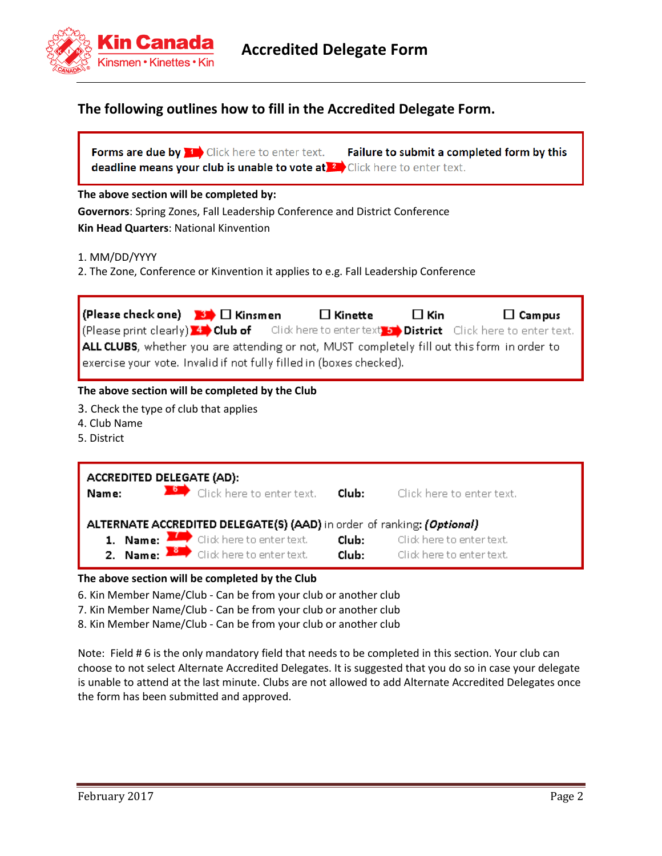

## **The following outlines how to fill in the Accredited Delegate Form.**

| <b>Forms are due by The Click here to enter text.</b>                     | Failure to submit a completed form by this |
|---------------------------------------------------------------------------|--------------------------------------------|
| deadline means your club is unable to vote at 2 Click here to enter text. |                                            |

#### **The above section will be completed by:**

**Governors**: Spring Zones, Fall Leadership Conference and District Conference **Kin Head Quarters**: National Kinvention

1. MM/DD/YYYY

2. The Zone, Conference or Kinvention it applies to e.g. Fall Leadership Conference

| <b>Please check one)</b> $\blacksquare$ <b>Kinsmen</b><br>$\left  \right $ (Please print clearly) $\leftrightarrow$ Club of $\left  \right $ Click here to enter text, $\leftrightarrow$ District Click here to enter text.<br>ALL CLUBS, whether you are attending or not, MUST completely fill out this form in order to<br>exercise your vote. Invalid if not fully filled in (boxes checked). | $\Box$ Kinette | $\Box$ Kin | $\Box$ Campus |
|---------------------------------------------------------------------------------------------------------------------------------------------------------------------------------------------------------------------------------------------------------------------------------------------------------------------------------------------------------------------------------------------------|----------------|------------|---------------|
| The above section will be completed by the Club<br>3. Check the type of club that applies<br>4. Club Name<br>5. District                                                                                                                                                                                                                                                                          |                |            |               |



#### **The above section will be completed by the Club**

- 6. Kin Member Name/Club Can be from your club or another club
- 7. Kin Member Name/Club Can be from your club or another club
- 8. Kin Member Name/Club Can be from your club or another club

Note: Field # 6 is the only mandatory field that needs to be completed in this section. Your club can choose to not select Alternate Accredited Delegates. It is suggested that you do so in case your delegate is unable to attend at the last minute. Clubs are not allowed to add Alternate Accredited Delegates once the form has been submitted and approved.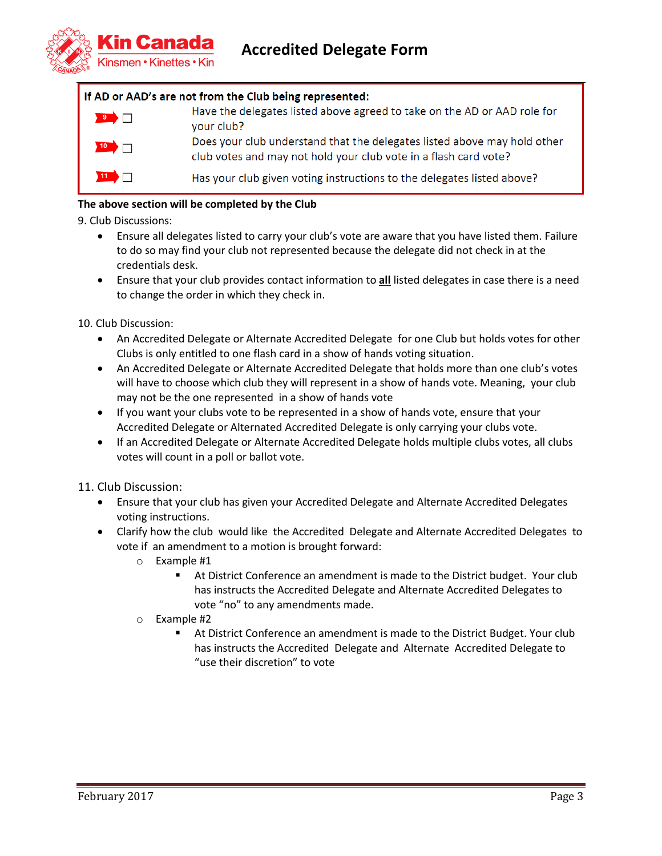

#### If AD or AAD's are not from the Club being represented:

Have the delegates listed above agreed to take on the AD or AAD role for  $\overline{\phantom{a}}$ vour club? Does your club understand that the delegates listed above may hold other club votes and may not hold your club vote in a flash card vote?  $\blacksquare$ Has your club given voting instructions to the delegates listed above?

#### **The above section will be completed by the Club**

9. Club Discussions:

- Ensure all delegates listed to carry your club's vote are aware that you have listed them. Failure to do so may find your club not represented because the delegate did not check in at the credentials desk.
- Ensure that your club provides contact information to **all** listed delegates in case there is a need to change the order in which they check in.

10. Club Discussion:

- An Accredited Delegate or Alternate Accredited Delegate for one Club but holds votes for other Clubs is only entitled to one flash card in a show of hands voting situation.
- An Accredited Delegate or Alternate Accredited Delegate that holds more than one club's votes will have to choose which club they will represent in a show of hands vote. Meaning, your club may not be the one represented in a show of hands vote
- If you want your clubs vote to be represented in a show of hands vote, ensure that your Accredited Delegate or Alternated Accredited Delegate is only carrying your clubs vote.
- If an Accredited Delegate or Alternate Accredited Delegate holds multiple clubs votes, all clubs votes will count in a poll or ballot vote.

11. Club Discussion:

- Ensure that your club has given your Accredited Delegate and Alternate Accredited Delegates voting instructions.
- Clarify how the club would like the Accredited Delegate and Alternate Accredited Delegates to vote if an amendment to a motion is brought forward:
	- o Example #1
		- At District Conference an amendment is made to the District budget. Your club has instructs the Accredited Delegate and Alternate Accredited Delegates to vote "no" to any amendments made.
	- o Example #2
		- At District Conference an amendment is made to the District Budget. Your club has instructs the Accredited Delegate and Alternate Accredited Delegate to "use their discretion" to vote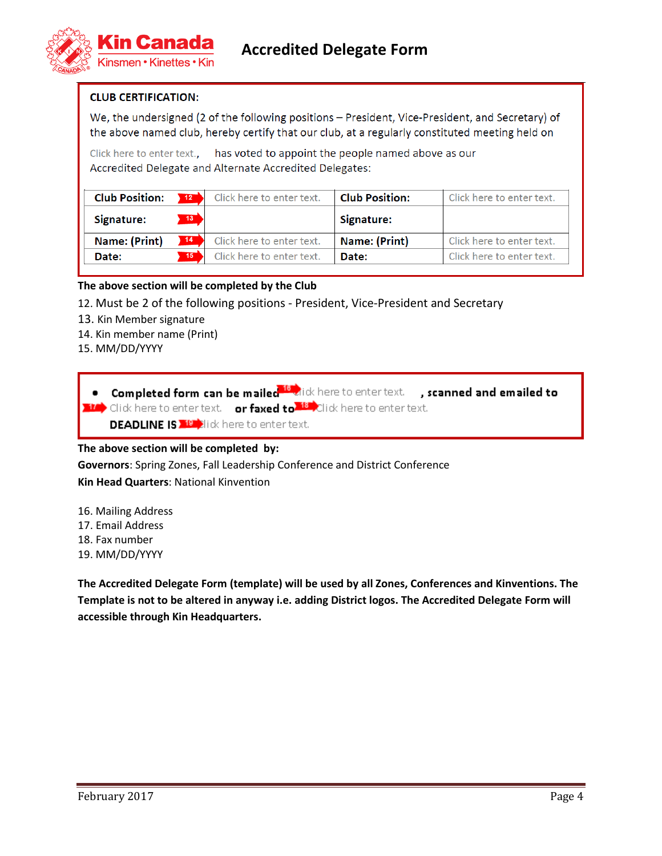

#### **CLUB CERTIFICATION:**

We, the undersigned (2 of the following positions – President, Vice-President, and Secretary) of the above named club, hereby certify that our club, at a regularly constituted meeting held on

Click here to enter text., has voted to appoint the people named above as our Accredited Delegate and Alternate Accredited Delegates:

| <b>Club Position:</b> | 12              | Click here to enter text. | <b>Club Position:</b> | Click here to enter text. |
|-----------------------|-----------------|---------------------------|-----------------------|---------------------------|
| Signature:            | 13 <sup>°</sup> |                           | Signature:            |                           |
| Name: (Print)         | 14              | Click here to enter text. | Name: (Print)         | Click here to enter text. |
| Date:                 | 15              | Click here to enter text. | Date:                 | Click here to enter text. |

#### **The above section will be completed by the Club**

- 12. Must be 2 of the following positions President, Vice-President and Secretary
- 13. Kin Member signature
- 14. Kin member name (Print)
- 15. MM/DD/YYYY

**.** Completed form can be mailed <sup>16</sup> dick here to enter text. **, scanned and emailed to 10** Click here to enter text. **or faxed to <sup>18</sup> C**lick here to enter text. **DEADLINE IS ALL**ick here to enter text.

#### **The above section will be completed by:**

**Governors**: Spring Zones, Fall Leadership Conference and District Conference **Kin Head Quarters**: National Kinvention

- 16. Mailing Address
- 17. Email Address
- 18. Fax number
- 19. MM/DD/YYYY

**The Accredited Delegate Form (template) will be used by all Zones, Conferences and Kinventions. The Template is not to be altered in anyway i.e. adding District logos. The Accredited Delegate Form will accessible through Kin Headquarters.**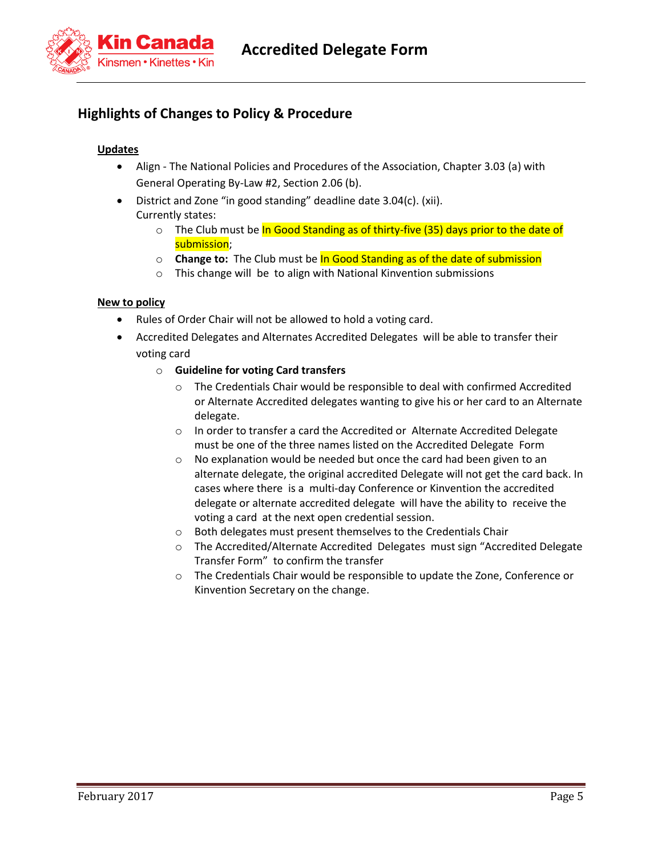**Accredited Delegate Form**



# **Highlights of Changes to Policy & Procedure**

#### **Updates**

- Align The National Policies and Procedures of the Association, Chapter 3.03 (a) with General Operating By-Law #2, Section 2.06 (b).
- District and Zone "in good standing" deadline date 3.04(c). (xii). Currently states:
	- $\circ$  The Club must be In Good Standing as of thirty-five (35) days prior to the date of submission;
	- o **Change to:** The Club must be In Good Standing as of the date of submission
	- o This change will be to align with National Kinvention submissions

#### **New to policy**

- Rules of Order Chair will not be allowed to hold a voting card.
- Accredited Delegates and Alternates Accredited Delegates will be able to transfer their voting card
	- o **Guideline for voting Card transfers**
		- o The Credentials Chair would be responsible to deal with confirmed Accredited or Alternate Accredited delegates wanting to give his or her card to an Alternate delegate.
		- o In order to transfer a card the Accredited or Alternate Accredited Delegate must be one of the three names listed on the Accredited Delegate Form
		- o No explanation would be needed but once the card had been given to an alternate delegate, the original accredited Delegate will not get the card back. In cases where there is a multi-day Conference or Kinvention the accredited delegate or alternate accredited delegate will have the ability to receive the voting a card at the next open credential session.
		- o Both delegates must present themselves to the Credentials Chair
		- o The Accredited/Alternate Accredited Delegates must sign "Accredited Delegate Transfer Form" to confirm the transfer
		- o The Credentials Chair would be responsible to update the Zone, Conference or Kinvention Secretary on the change.